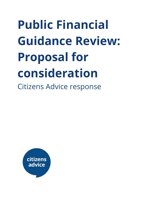# **Public Financial Guidance Review: Proposal for consideration** Citizens Advice response

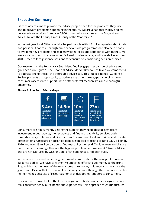### **Executive Summary**

Citizens Advice aims to provide the advice people need for the problems they face, and to prevent problems happening in the future. We are a national charity and we deliver advice services from over 2,900 community locations across England and Wales. We are the Charity Times Charity of the Year for 2015.

In the last year local Citizens Advice helped people with 1.8 million queries about debt and personal finances. Through our financial skills programmes we also help people to avoid money problems and gain knowledge, skills and confidence with money. We are also a partner in the government's Pension Wise service, and have delivered over 40,000 face to face guidance sessions for consumers considering pension choices.

Our research on the *Four Advice Gaps* identified key gaps in provision of advice and guidance as in Figure 1. The Financial Advice Market Review has taken welcome steps to address one of these - the affordable advice gap. This Public Financial Guidance Review presents an opportunity to address the other three gaps by helping more consumers access free support, with better referral mechanisms and meaningful outcomes.

#### **Figure 1: The Four Advice Gaps**



Consumers are not currently getting the support they need, despite significant investment in debt advice, money advice and financial capability services both through a range of levies and directly from Government, local authorities and private organisations. Unsecured household debt is expected to rise to around £300 billion by 2020 and over 13 million UK adults find managing money difficult. Arrears on bills are particularly concerning - they are the biggest problem debt we see at Citizens Advice and are not captured by ONS or Bank of England unsecured debt stats.

In this context, we welcome the government's proposals for the new public financial guidance bodies. We have consistently supported efforts to get money to the front line, which is at the heart of the new approach to money guidance. And we share the government's view that provision of pensions guidance through three separate bodies neither makes best use of resources nor provides optimal support to consumers.

Our evidence shows that both of the new guidance bodies must be designed around real consumer behaviours, needs and experiences. This approach must run through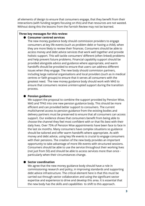all elements of design to ensure that consumers engage, that they benefit from their interactions (with funding targets focusing on this) and that resources are not wasted. Without doing this the lessons from the Farnish Review may not be learned.

#### **Three key messages for this review:**

#### ● **Consumer centred services**

The new money guidance body should commission providers to engage consumers at key life events (such as problem debt or having a child), when they are more likely to review their finances. Consumers should be able to access money and debt advice services that work well together and provide holistic support. This will tackle consumers' different (often linked) problems and help prevent future problems. Financial capability support should be provided alongside advice and guidance where appropriate, and warm handoffs should be provided to ensure that users can address different issues when they engage. The new body should commision partners, including large national organisations and local providers (such as in medical centres or faith groups) to ensure that it serves all consumers with the greatest need. The new money guidance body should work with MAS to ensure that consumers receive uninterrupted support during the transition process.

#### ● **Pension guidance**

We support the proposal to combine the support provided by Pension Wise, MAS and TPAS into one new pension guidance body. This should be more efficient and can provided better support to consumers. The current multichannel access to pension guidance from the existing bodies and delivery partners must be preserved to ensure that all consumers can access support. Our evidence shows that consumers benefit from being able to choose the channel they feel most confident with or that fits best with their daily lives. Over 75% of Pension Wise appointments have been face to face in the last six months. Many consumers have complex situations so guidance should be tailored and offer warm handoffs where appropriate. As with money and debt advice, using key life events is crucial to engage consumers with their pensions. The creation of the new body provides an important opportunity to take advantage of more life events with structured sessions. Consumers should be able to use the service throughout their working lives (not just from 50) and should be able to access services more than once particularly when their circumstances change.

#### ● **Sector coordination**

We agree that the new money guidance body should have a role in commissioning research and policy, in improving standards and supporting debt advice infrastructure. The critical element here is that this must be carried out through sector collaboration and using the significant sector expertise and experience to drive and develop this area. It is essential that the new body has the skills and capabilities to shift to this approach.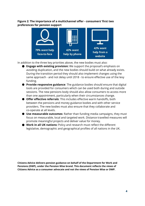**Figure 2: The importance of a multichannel offer - consumers' first two preferences for pension support**



In addition to the three key priorities above, the new bodies must also:

- **Engage with existing provision:** We support the proposal's emphasis on avoiding duplication, and the new bodies should build on what already exists. During the transition period they should also implement changes using the same approach - and not delay until 2018 - to ensure effective use of the levy funding.
- **Provide responsive guidance**: The guidance bodies should ensure that digital tools are provided for consumers which can be used both during and outside sessions. The new pensions body should also allow consumers to access more than one appointment, particularly when their circumstances change.
- **Offer effective referrals**: This includes effective warm handoffs, both between the pensions and money guidance bodies and with other service providers. The new bodies must also ensure that they collaborate and co-operate at all levels.
- **Use measurable outcomes**: Rather than funding media campaigns, they must focus on measurable, local and targeted work. Distance travelled measures will promote meaningful projects and deliver value for money.
- **Work in all UK nations:** Policy and research must reflect the different legislative, demographic and geographical profiles of all nations in the UK.

**Citizens Advice delivers pension guidance on behalf of the Department for Work and Pensions (DWP), under the Pension Wise brand. This document reflects the views of Citizens Advice as a consumer advocate and not the views of Pension Wise or DWP.**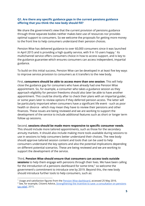#### **Q1.Are there any specific guidance gaps in the current pensions guidance offering that you think the new body should fill?**

We share the government's view that the current provision of pensions guidance through three separate bodies neither makes best use of resources nor provides optimal support to consumers. So we welcome the proposals for getting more money to the front line to help consumers understand their pension choices.

Pension Wise has delivered guidance to over 60,000 consumers since it was launched in April 2015 and is providing a high quality service, with 9 in 10 users happy. $1$  Its multichannel service offers consumers choice in how to access support, and is key to the guidance guarantee which ensures consumers can access independent, impartial guidance.

To build on this initial success, Pension Wise can be developed in at least five key ways to improve service provision to consumers as it transfers to the new body.

First, **consumers should be able to access more than one session**. This will help close the guidance gap for consumers who have already had one Pension Wise appointment. So, for example, a consumer who takes a guidance session as they approach eligibility for pension freedoms should also later be able to have another appointment. This could be shortly after to check their plans with an impartial guider, or some years later to review options if they deferred pension access. The latter will be particularly important when consumers have a significant life event - such as poor health or divorce - which may mean they have to review their pensions and other finances. These issues are being reviewed and we are working to support the development of the service to include additional features such as short or longer term follow up sessions.

Second, **sessions should be made more responsive to specific consumer needs**. This should include more tailored appointments, such as those for the secondary

annuity markets. It should also include making more tools available during sessions to use in sessions to help consumers better understand their choices. The new body should approve tailored session content and tools that can be used to help consumers understand the key options and also the potential implications depending on different potential scenarios. These are being reviewed and we are working to support the development of the service.

Third, **Pension Wise should ensure that consumers can access tools outside sessions**to help them engage with pensions through their lives. We have been calling for the introduction of a pensions dashboard for some time, $^2$  so welcome the government's commitment to introduce one by 2019. Beyond this, the new body should introduce further tools to help consumers, such as:

<sup>&</sup>lt;sup>1</sup> Usage and satisfaction figures from the **Pension Wise [dashboard](https://www.gov.uk/performance/pension-wise)**, accessed 25 May 2016.

<sup>&</sup>lt;sup>2</sup> See, for example, Citizens Advice, [Strengthening](https://www.citizensadvice.org.uk/about-us/policy/policy-research-topics/pensions-policy-research-surveys-and-consultation-responses/pensions-surveys-and-consultation-responses/strengthening-the-incentive-to-save-a-consultation-on-pensions-tax-relief/) the incentive to save: a consultation on pensions tax [relief](https://www.citizensadvice.org.uk/about-us/policy/policy-research-topics/pensions-policy-research-surveys-and-consultation-responses/pensions-surveys-and-consultation-responses/strengthening-the-incentive-to-save-a-consultation-on-pensions-tax-relief/), 2015.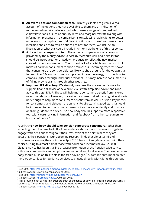- **An overall options comparison tool.** Currently clients are given a verbal account of the options they have available to them and an indication of monetary values. We believe a tool, which uses a range of standardised *indicative* variables (such as annuity rates and marginal tax rates) along with information presented in a comparison-site style will enable clients to better understand the implications of different options and therefore make a more informed choice as to which options are best for them. We include an illustration of what this could include in Annex 1 at the end of this response.
- **A drawdown comparison tool**. The annuity comparison tool<sup>3</sup> currently provided by the Money Advice Service (MAS) works well, and a similar tool should be introduced for drawdown products to reflect the new market created by pension freedoms. The current lack of a reliable comparison tool makes it hard for consumers to shop around: our upcoming research shows that consumers are considerably less likely to shop around for drawdown than for annuities. $4$  Many consumers simply don't have the energy or know how to compare prices through individual providers. This may increase consumer risk of falling prey to scams through other websites.
- **Improved IFA directory**. We strongly welcome the government's work to support financial advice at new price levels with simplified advice and robo advice through FAMR. These will help more consumers benefit from tailored recommendations. However, our evidence shows that addressing price alone is not enough to help more consumers benefit from advice. Trust is a key barrier for consumers, and although the current IFA directory $5$  is good start, it should be improved to help consumers make choices more confidently and to move on from guidance to advice. The new body should support a more responsive tool with clearer pricing information and feedback from other consumers to boost confidence. 6

Fourth, **the new body should take pension support to consumers**, rather than expecting them to come to it. All of our evidence shows that consumers struggle to engage with pensions throughout their lives, even at the point where they are accessing their pensions. Our upcoming research finds that almost a third of consumers accessing their pots since April 2015 have not sought any help with their choices, rising to almost half of those with household incomes below £20,000.<sup>7</sup> Citizens Advice has been trialling proactive promotion of the Pension Wise service with local communities and employers (at national and local levels). The new pensions body should build on this to close the free advice gap. $8$  Automatic enrolment creates more opportunities for guidance services to engage directly with clients throughout

<sup>3</sup> See MAS, <https://comparison.moneyadviceservice.org.uk/en/Annuity/FindAnnuity/YourDetails>

<sup>4</sup> Citizens Advice, Drawing a Pension, June 2016.

<sup>5</sup> See MAS, <https://directory.moneyadviceservice.org.uk/en>

<sup>&</sup>lt;sup>6</sup> Citizens Advice, **[Affordable](https://www.citizensadvice.org.uk/about-us/policy/policy-research-topics/debt-and-money-policy-research/the-affordable-advice-gap-how-affordable-and-clear-pricing-can-help-more-consumers-access-paid-for-financial-advice/) Advice**, October 2015.

 $<sup>7</sup>$  This group did not take formal support (such as guidance or advice) or informal support such as</sup> speaking to friends or following the media. Citizens Advice, Drawing a Pension, June 2016. <sup>8</sup> Citizens Advice, The Free [Advice](https://www.citizensadvice.org.uk/about-us/policy/policy-research-topics/debt-and-money-policy-research/the-free-advice-gap/) Gap, November 2015.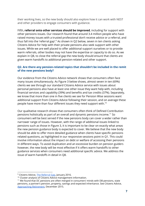their working lives, so the new body should also explore how it can work with NEST and other providers to engage consumers with guidance.

Fifth, **referral onto other services should be improved**, including for support with other pensions issues. Our research found that around 3.4 million people who have raised money issues with a trusted professional don't receive advice or a referral, and thus fall into the 'referral gap'. $9$  As shown in Q2 below, seven in ten clients asking Citizens Advice for help with their private pensions also seek support with other issues. While we are well placed to offer additional support ourselves or to provide warm referrals, other bodies may not have the expertise or capacity to do so. As we explain in Q8, to close the referral gap the new body should ensure that clients are given warm handoffs to additional pension-related and other support.

#### **Q2. Are there any pension-related topics that shouldn't be included in the remit of the new pensions body?**

Our evidence from the Citizens Advice network shows that consumers often face many issues simultaneously. As Figure 3 below shows, almost seven in ten (69%) clients we see through our standard Citizens Advice service with issues about personal pensions also have at least one other issue they want help with, including financial services and capability (39%) and benefits and tax credits (37%). Separately, we know that more than one in five clients we see for Pension Wise sessions want additional support from Citizens Advice following their session, and on average these people have more than four different issues they need support with. $^{\rm 10}$ 

Our qualitative research shows that consumers often think of Defined Contribution pensions holistically as part of an overall and dynamic pensions income. $^{11}$  So consumers will be best served if the new pensions body can cover a wider rather than narrower range of issues. However, with the range of additional issues linked to pensions such as those in Figure 3, it is important to be clear on exactly what areas the new pension guidance body is expected to cover. We believe that the new body should be able to offer more detailed guidance when clients have specific pensions related questions, as highlighted in our responsive sessions point in Q1. This could involve information about the impact on debt or welfare of accessing their pensions in different ways. To avoid duplication and an excessive burden on pension guiders however, the new body will be most effective if it offers warm handoffs to other guidance services when consumers need additional specific advice. We address the issue of warm handoffs in detail in Q8.

<sup>&</sup>lt;sup>9</sup> Citizens Advice, The [Referral](https://www.citizensadvice.org.uk/about-us/policy/policy-research-topics/debt-and-money-policy-research/the-referral-gap-how-stronger-referrals-between-free-guidance-and-paid-for-advice-can-help-people-make-better-money-choices/) Gap, January 2016.

<sup>&</sup>lt;sup>10</sup> Cluster analysis of Citizens Advice management information.

 $11$  We found that DC pensions are often merged in consumers' minds with DB pensions, state pensions, a partner's pension, property, savings and expected inheritance. See Citizens Advice, [Approaching](https://www.citizensadvice.org.uk/about-us/policy/policy-research-topics/pensions-policy-research-surveys-and-consultation-responses/pensions-policy-research/approaching-retirement/) Retirement, December 2015.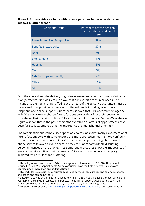**Figure 3: Citizens Advice clients with private pensions issues who also want support in other areas 12**

| <b>Additional issue</b>         | Percent of private pension<br>clients with this additional<br>issue |
|---------------------------------|---------------------------------------------------------------------|
| Financial services & capability | 39%                                                                 |
| Benefits & tax credits          | 37%                                                                 |
| <b>Debt</b>                     | 9%                                                                  |
| Employment                      | 8%                                                                  |
| <b>Housing</b>                  | 5%                                                                  |
| <b>Tax</b>                      | 5%                                                                  |
| Relationships and family        | 4%                                                                  |
| Other $13$                      | 16%                                                                 |
| All                             | 69%                                                                 |

Both the content and the delivery of guidance are essential for consumers. Guidance is only effective if it is delivered in a way that suits specific consumer needs. This means that the multichannel offering at the heart of the guidance guarantee must be maintained to support consumers with different needs including face to face, telephone and online support. Our research showed that 71% of consumers aged 50+ with DC savings would choose face to face support as their first preference when considering their pension options.<sup>14</sup> This is borne out in practice: Pension Wise data in Figure 4 shows that in the past six months over three quarters of appointments have been face to face, emphasising the importance of a multichannel offering. 15

The combination and complexity of pension choices mean that many consumers want face to face support, with some trusting this more and others feeling more confident to ask for clarification on key points. Other consumers prefer being able to use the phone service to avoid travel or because they feel more comfortable discussing personal finances on the phone. These different approaches show the importance of guidance services fitting in with consumers' lives, and this can only be properly achieved with a multichannel offering.

 $12$  These figures are from Citizens Advice management information for 2015/16. They do not include Pension Wise appointments. Some consumers have multiple different issues so are counted under more than one additional issue.

<sup>&</sup>lt;sup>13</sup> This includes issues such as consumer goods and services, legal, utilities and communications, and health and community care.

<sup>&</sup>lt;sup>14</sup> Based on a survey by ComRes for Citizens Advice of 1,386 UK adults aged 50 or over who are not yet retired Ranked within top two preferences. The full list of options was: face to face, on the phone, on a website, on email or live chat, on a video chat, or not wanting advice.

<sup>&</sup>lt;sup>15</sup> Pension Wise dashboard <https://www.gov.uk/performance/pension-wise> accessed May 2016.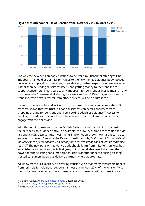



The way the new pension body functions to deliver a multichannel offering will be important. It should use similar principles to the new money guidance body focused on: avoiding duplication of services, using delivery partner expertise where available (rather than delivering all services itself), and getting money to the front line to support consumers. This is particularly important for pensions as inertia means many consumers don't engage at all during their working lives.<sup>16</sup> Diverting more money to front line, with better referral from other services, will help address this.

Given consumer inertia and lack of trust, the power of brand can be important. Our research shows that low trust in financial services can deter consumers from shopping around for pensions and from seeking advice or guidance.<sup>17</sup> Access to familiar, trusted brands can address these concerns and help more consumers engage with their pensions.

With this in mind, lessons from the Farnish Review should be built into the design of the new pension guidance body. For example, the low level brand recognition for MAS (around 5-10%) despite large investments in promotion shows how hard it can be to engage consumers. Similarly, the Review questioned why MAS sought "*to compete with the wide range of other bodies who already have trusted brands and extensive consumer reach"*.<sup>18</sup> The new pensions guidance body should learn from this. Pension Wise has established a strong brand in its first year, but it should also seek to harness the power of other existing consumer brands. This is another benefit of using existing, trusted consumers bodies as delivery partners where appropriate.

We know from our experience delivering Pension Wise that many consumers benefit from referrals for additional support - almost one in four (22%) of the Pension Wise clients that we have helped have booked a follow up session with Citizens Advice

<sup>&</sup>lt;sup>16</sup> Citizens Advice, [Approaching](https://www.citizensadvice.org.uk/about-us/policy/policy-research-topics/pensions-policy-research-surveys-and-consultation-responses/pensions-policy-research/approaching-retirement/) Retirement, December 2015.

<sup>&</sup>lt;sup>17</sup> Citizens Advice, Drawing a Pension, June 2016.

<sup>&</sup>lt;sup>18</sup> HMT, Review of the Money Advice [Service](https://www.gov.uk/government/publications/review-of-the-money-advice-service), March 2015.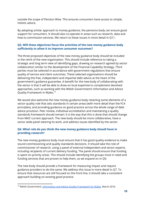outside the scope of Pension Wise. This ensures consumers have access to simple, holistic advice.

By adopting similar approach to money guidance, the pensions body can ensure good support for consumers. It should also co-operate in areas such as research, data and how to commission services. We return to these issues in more detail in Q11.

#### **Q3. Will these objectives focus the activities of the new money guidance body sufficiently to allow it to improve consumer outcomes?**

The three proposed objectives of the new money guidance body should be included in the remit of the new organisation. This should include reference to taking a strategic and long term view of identifying gaps, drawing on research agreed by sector collaboration similar to the development of the Financial Capability Strategy. Third parties must be selected in accordance with government regulations that ensure quality of service and client outcomes. These selected organisations should be delivering the free, independent and impartial debt advice at the heart of the government's guidance guarantee. A benefit for the new body of collaborating with the sector is that it will be able to draw on local expertise to complement devolved approaches, such as working with the Welsh Government's Information and Advice Quality Framework in Wales. 19

We would also welcome the new money guidance body retaining some elements of a sector quality role that sets standards in certain areas (with more detail than the FCA principles), and providing guidance on good practice across the whole range of debt advice provision. Peer review, individual accreditation and maintaining a quality standards framework should remain: it is the way that this is done that should change from MAS' current approach. The new body should be more collaborative, have a sector wide panel steering its work, and address issues identified by the sector.

#### **Q4. What role do you think the new money guidance body should have in providing research?**

The new money guidance body must ensure that it has good quality evidence to make sound commissioning and quality standards decisions. It should take the role of commissioner of research, using a panel of external independent and sector experts, including recipients of current delivery funding. The panel should ensure that funding is spent on priority areas. This should include identifying the groups most in need and funding services that are proven to help them, as we expand on in Q9.

The new body should provide a framework for measuring impact and require guidance providers to do the same. We address this issue in more detail in Q7. To ensure that resources are still focused on the front line, it should take a consistent approach building on existing good practice.

<sup>&</sup>lt;sup>19</sup> Welsh Government, [Information](http://gov.wales/topics/people-and-communities/communities/advice-services/information-advice-quality-framework/?lang=en) and Advice Quality Framework for Wales, March 2016.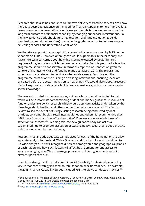Research should also be conducted to improve delivery of frontline services. We know there is widespread evidence on the need for financial capability to help improve long term consumer outcomes. What is not clear yet though, is how we can improve the long term outcomes of financial capability by changing our service interventions. So the new guidance body should fund key research and fund evaluation (outside standard commissioned services) to enable the guidance sector to test new ways of delivering services and understand what works.

We therefore support the concept of the recent initiative announced by MAS on the 'What Works Fund'. However, although we would support this in the new body, we have short term concerns about how this is being executed by MAS. This area requires a long term view, which the new body can take. For this year, we believe the programme should be conservative in terms of emphasis on innovation given the context of changes to MAS and funding plans post-March 2017. The programme should also be careful not to duplicate what exists already. For this year, the programme must prioritise building on existing interventions, ensuring these are evaluated before the sector moves on to new things. We would also support research that will explore how debt advice builds financial resilience, which is a major gap in sector knowledge.

The research funded by the new money guidance body should be limited to that which will help inform its commissioning of debt and money guidance. It should not fund or undertake policy research, which would duplicate activity undertaken by the three large debt charities, and others, under their advocacy remits. $^{20}$  The Farnish Review raised the benefit of using existing research being conducted by debt charities, consumer bodies, retail intermediaries and others. It recommended that "*MAS should strengthen its relationships with all these players, particularly those with* direct consumer reach."<sup>21</sup> By doing this, the new guidance body can act as a streamlined hub to promote discussion of existing policy research and good practice with its own research commissioning.

Research must include adequate sample sizes for each of the home nations to allow separate analysis for England, Wales, Scotland and Northern Ireland in addition to UK-wide analysis. This will recognise different demographic and geographical profiles of each nation and how such factors will affect both demand for and access to services - ranging from Welsh language provision to differing internet speeds in different parts of the UK.

One of the strengths of the individual Financial Capability Strategies developed by MAS is that each strategy is based on robust nation-specific evidence. For example, the 2015 Financial Capability Survey included 795 interviews conducted in Wales.<sup>22</sup>

<sup>20</sup> See, for example: *The State of Debt Collection*, Citizens Advice, 2016; *Changing Household Budgets*, Money Advice Trust, 2014; *The Credit Safety Net*, Stepchange, 2016.

<sup>&</sup>lt;sup>21</sup> Christine Farnish, Review of the Money Advice [Service,](https://www.gov.uk/government/publications/review-of-the-money-advice-service) December 2014.

<sup>22</sup> MAS, Financial [Capability](https://masassets.blob.core.windows.net/cms/files/000/000/273/original/MAS_FinCap_Full_Survey_WALES_online.pdf) in Wales 2015.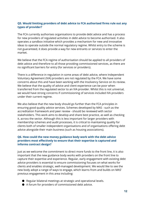#### **Q5. Would limiting providers of debt advice to FCA authorised firms rule out any types of provider?**

The FCA currently authorises organisations to provide debt advice and has a process for new providers of regulated activities in debt advice to become authorised. It also operates a sandbox initiative which provides a mechanism for new and innovative ideas to operate outside the normal regulatory regime. Whilst entry to the scheme is not guaranteed, it does provide a way for new entrants or services to enter the market.

We believe that the FCA regime of authorisation should be applied to all providers of debt advice and therefore to all those providing commissioned services, as there are no significant barriers for entry (for services or providers).

There is a difference in regulation in some areas of debt advice, where Independent Voluntary Agreement (IVA) providers are not regulated by the FCA. We have some concerns about this and have been working with the Insolvency Service on its review. We believe that the quality of advice and client experience can be poor when transferred from the regulated sector to an IVA provider. Whilst this is not universal, we would have strong concerns if commissioning of services included IVA providers under their current regime.

We also believe that the new body should go further than the FCA principles in ensuring good quality advice services. Schemes developed by MAS - such as the accreditation framework and peer review - should be reviewed with sector stakeholders. This work aims to develop and share best practice, as well as checking it, across the sector. Although this is less important for larger providers with membership schemes and audit processes, it is critical to maintaining quality for clients both of smaller independent organisations and of organisations offering debt advice alongside their main business (such as housing associations).

#### **Q6. How could the new money guidance body work with the debt advice providers most effectively to ensure that their expertise is captured and informs contract design?**

Just as we welcome the commitment to direct more funds to the front line, it is also important that the new guidance body works with providers on the front line to capture their expertise and experience. Regular, early engagement with existing debt advice providers is essential to ensure commissioning focuses on what works for clients and enables strategic, well-managed development. We would like to see the new body adopt a range of ways to engage, which learns from and builds on MAS' previous engagement in this area including:

- Regular bilateral meetings at strategic and operational levels.
- A forum for providers of commissioned debt advice.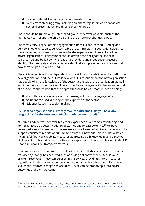- Leading debt advice sector providers steering group.
- Debt advice steering group including creditors, regulators and debt advice sector representatives and direct consumer input.

These should be run through established groups wherever possible, such as the Money Advice Trust partnership board and the three debt charities group.

The most critical aspect of this engagement is how it is approached. Funding and delivery should, of course, be accountable the commissioning body. Alongside this, the engagement approach must recognise the expertise within established debt advice organisations. Engagement should develop the ability of the sector to self-organise and be led by the issues that providers and independent research identify. The new body and stakeholders should draw up a set of principles around how sector expertise will be used.

The ability to achieve this is dependent on the skills and capabilities of the staff in the new organisation, and the culture it develops. It is essential that the new organisation has people who have knowledge of the sector at the top of the organisation, as well as within the staff group. We would welcome the new organisation having a clear set of behaviours and believe that the approach should be one that focuses on being:

- Consultative, achieving sector consensus, including managing conflict.
- Solutions focused, drawing on the expertise of the sector.
- Evidence based in decision making.

#### **Q7. How do organisations currently monitor outcomes? Do you have any suggestions for the outcomes which should be monitored?**

At Citizens Advice we have over ten years' experience of outcomes monitoring, and are recognised as a sector leader in outcomes and impact evidence. $^{23}$  We have developed a set of shared outcome measures for all areas of advice and education, to support consistent reports of our impact across our network. This includes a set of meaningful financial capability measures addressing both knowledge and behaviour of clients. It has been developed with sector experts and clients, and fits within the UK Financial Capability Strategy framework.

Outcomes should be monitored on at least two levels. High level measures identify *whether* any change has occurred such as asking a client 'to what extent is your problem resolved?'. These can be used in all services, providing shared measures regardless of nature of intervention, channel, work level or advice area. The second level measures *what* change has occurred. These can be broadly split into advice outcomes and client outcomes:

<sup>&</sup>lt;sup>23</sup> For example, we were awarded Charity Times Charity of the Year award in 2015 in recognition of our outcomes data. See <http://www.charitytimes.com/ct/charity-times-awards-winners-2015.php>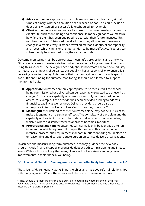- **Advice outcomes**capture how the problem has been resolved and, at their simplest binary, whether a solution been reached or not. This could include a debt being written off or successfully rescheduled, for example.
- **Client outcomes** are more nuanced and seek to capture broader changes to a client's life, such as wellbeing and confidence. In money guidance we measure how far the client has been equipped to deal with their future finances. This requires the use of 'distanced travelled' measures, allowing us to measure change in a credible way. Distance travelled methods identify client capability and needs, which can tailor the intervention to be most effective. Progress can subsequently be measured using the same methods.

Outcome monitoring must be appropriate, meaningful, proportional and timely. At Citizens Advice we successfully deliver outcomes evidence for government contracts using this approach. The new guidance body should not create a whole new industry to measure the impacts of guidance, but equally it has a responsibility to ensure it is delivering value for money. This means that the new regime should include specific and sufficient funding for outcome monitoring. It should be allocated to support monitoring that is:

- **Appropriate:**outcomes are only appropriate to be measured if the service being commissioned or delivered can be reasonably expected to achieve that change. So financial capability outcomes should only be measured on debt advice, for example, if the provider has been provided funding to address financial capability as well as debt. Delivery providers should also be appropriate in terms of which clients' outcomes they measure. $^{\mathrm{24}}$
- **Meaningful:** well defined consistent outcomes alone may not be sufficient to make a judgement on a service's efficacy. The complexity of a problem and the capability of the client must also be understood in order to consider value, which is where a distance travelled approach becomes important.
- **Proportional and timely:** outcomes can normally only be identified after an intervention, which requires follow up with the client. This is a resource intensive process, and requirements for continuous monitoring could place an unreasonable and disproportionate burden on service delivery organisations.

To achieve and measure long term outcomes in money guidance the new body should include financial capability alongside debt at both commissioning and impact levels. Without this, it is likely that many clients will not see significant long term improvements in their financial wellbeing.

#### **Q8. How could "hand off" arrangements be most effectively built into contracts?**

The Citizens Advice network works in partnerships and has good referral relationships with many agencies. Where these work well, there are three main features:

 $24$  They should use their experience and discretion to determine whether some of their most vulnerable clients should be enrolled onto any outcomes measurements and find other ways to measure these clients if possible.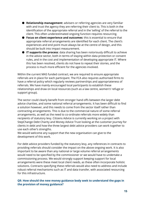- **Relationship management**: advisers or referring agencies are very familiar with and trust the agency they are referring their client to. This is both in the identification of the appropriate referral and in the 'selling' of the referral to the client. This often underestimated ongoing function requires resourcing.
- **Focus on client experience and outcomes**: this is essential to ensure that appropriate referral arrangements are identified for each client. The client's experiences and end point must always be at the centre of design, and this should be built into impact measurement.
- **IT supports the process**: data sharing has been notoriously difficult to achieve in the advice sector, both in terms of staying within data protection or consent rules, and in the cost and implementation of developing appropriate IT. Where this has been resolved, clients do not have to repeat their stories, and the process is much more efficient for the agencies involved.

Within the current MAS funded contract, we are required to ensure appropriate referrals are in place for each participant. The FCA also requires authorised firms to have a referral policy which regularly reviews partnerships and appropriateness of referrals. We have mainly encouraged local participants to establish these relationships and draw on local resources (such as a law centre, women's' refuge or support group).

The sector could clearly benefit from stronger hand offs between the larger debt advice charities, and some national referral arrangements. It has been difficult to find a solution however, and this needs to come from the sector itself rather than contracting arrangements. This is due to the commercial nature of some referral arrangements, as well as the need to co-ordinate referrals more widely than recipients of statutory levy. Citizens Advice is currently working on a project with StepChange Debt Charity and Money Advice Trust looking at the customer journey for clients in debt and how the three largest debt advice providers can work together to use each other's strengths.

We would welcome any support that the new organisation can give to the development of this work.

For debt advice providers funded by the statutory levy, any references in contracts to providing referrals should consider the impact on the above ongoing work. It is also important to be aware than any national or large volume referral arrangements would need to be specified by the commissioner or we would have to undertake a commissioning process. We would strongly support keeping support for local arrangements were these meet local client needs, as these often incorporate holistic solutions. Contracts specifying these referrals would also need to address and include robust referral mechanisms such as IT and data transfer, with associated resourcing for this infrastructure.

**Q9. How should the new money guidance body seek to understand the gaps in the provision of money guidance?**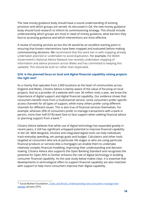The new money guidance body should have a sound understanding of existing provision and which groups are served. As discussed in Q4, the new money guidance body should fund research to inform its commissioning strategy. This should include understanding which groups are most in need of money guidance, what barriers they face to accessing guidance and which interventions are most effective.

A review of existing services across the UK would be an excellent starting point in ensuring that known interventions have been mapped and evaluated before making commissioning decisions. We recommend that this work ties in with mapping already undertaken planned or undertaken to avoid duplication. For example, the Welsh Government's National Advice Network has recently undertaken mapping of information and advice provision across Wales and has committed to keeping this updated. This should be built on rather than duplicated.

#### **Q10. Is the planned focus on local and digital financial capability raising projects the right one?**

As a charity that operates from 2,900 locations at the heart of communities across England and Wales, Citizens Advice is keenly aware of the value of focusing on local projects. And as a provider of a website with over 36 million visits a year, we know the importance of digital support and digital financial capability. Our evidence shows that consumers benefit most from a multichannel service: some consumers prefer specific access channels for all types of support, while many others prefer using different channels for different issues. This is also true of financial services themselves. For example, whereas 20% of consumers prefer to manage transactions with a bank in person, more than half (51%) want face to face support when seeking financial advice or planning support from a bank.<sup>25</sup>

Citizens Advice believes that while use of digital technology has expanded greatly in recent years, it still has significant untapped potential to improve financial capability in the UK. Well designed, intuitive and integrated digital tools can help individuals track everyday spending, set savings goals and budget. Calculators and other tools targeted at consumers who are at particular life stages or who are using particular financial products or services (like a mortgage) can enable them to undertake relatively complex financial modeling, improving their understanding and decision making. Citizens Advice also supports the Open Banking Standard and recognises the potential for Open APIs to further enhance the role of digital technology in building consumer financial capability. As the case study below makes clear, it is essential that developments in technological offers to support financial capability are also matched with support to help more consumers improve their digital capability.

<sup>&</sup>lt;sup>25</sup> Social Market Foundation, Clicks and Bricks: [Understanding](http://www.smf.co.uk/wp-content/uploads/2016/01/Social-Market-Foundation-Balancing-Bricks-and-Clicks-Understanding-how-consumers-manage-their-money-FINAL-Embargoed-0001-280116.pdf) how consumers manage their [money](http://www.smf.co.uk/wp-content/uploads/2016/01/Social-Market-Foundation-Balancing-Bricks-and-Clicks-Understanding-how-consumers-manage-their-money-FINAL-Embargoed-0001-280116.pdf), January 2016.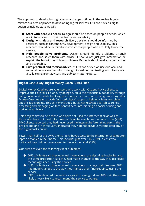The approach to developing digital tools and apps outlined in the review largely mirrors our own approach to developing digital services. Citizens Advice's digital design principles state we will:

- **Start with people's needs**. Design should be based on people's needs, which are in turn based on their problems and capability.
- **Design with data and research**. Every decision should be informed by research, such as content, CMS development, design and usability. This research should be detailed and involve real people who are likely to use the service.
- **Help people solve problems**. Design should identify problems through research and solve them with advice. It should not just give information or explain the law without solving problems. Rather is should make content active and actionable.
- **Give practical and tactical advice.** At Citizens Advice we use our local and national service staff to inform design. As well as user testing with clients, we also learning from advisers and subject matter experts.

#### **Digital Case Study: Digital Money Coach (DMC) Pilot**

Digital Money Coaches are volunteers who work with Citizens Advice clients to improve their digital skills and, by doing so, build their financially capability through using online and mobile banking, price comparison sites and energy switching sites. Money Coaches also provide 'assisted digital' support - helping clients complete specific tasks online. This activity includes, but is not restricted to, job searches, accessing and managing welfare benefit accounts, bidding on social housing and making complaints.

This project aims to help those who have not used the internet at all as well as those who have not used it for financial tasks before. More than one in five (21%) DMC clients reported they had never used the internet before taking part in the project and one in three (33%) indicated they had not previously completed any of the digital tasks online.

Fewer than half of the DMC clients (46%) have access to the internet on a computer, laptop or tablet in their home. This includes just over 1 in 5 DMC clients who indicated they did not have access to the internet at all (22%).

Our pilot achieved the following client outcomes:

- 60% of clients said they now feel more able to use digital technologies and the same proportion said they had made changes to the way they use digital technology since using the service.
- 41% of clients said they now feel more able to manage their finances. 38% had made changes to the way they manage their finances since using the service.
- 89% of clients rated the service as good or very good and 84% said they were likely or very likely to recommend the service to others.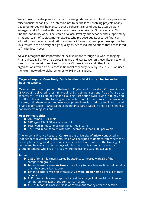We also welcome the plan for the new money guidance body to fund local projects to raise financial capability. The intention not to define local, enabling projects of any size to be funded will help ensure that a coherent range of quality assured work emerges, and it fits well with the approach we have taken at Citizens Advice. Our financial capability work is delivered at a local level by our network and supported by a national team of subject matter experts who produce quality assured financial education resources, an evaluation and impact framework and pilot new approaches. This results in the delivery of high quality, evidence led interventions that are tailored to fit with local needs.

We also recognise the importance of local solutions through our work managing Financial Capability Forums across England and Wales. We run these fifteen regional forums to commission services from local Citizens Advice and other local organisations with a track record in financial capability delivery. In 2015/16, we used the forum network to disburse funds to 168 organisations.

#### **Targeted support Case Study**: **Quids In - financial skills training for social housing tenants**

Over a ten month period, Bedworth, Rugby and Nuneaton Citizens Advice (BRANCAB) delivered short financial skills training sessions free-of-charge to tenants of Orbit Heart of England Housing Association (OHE) living in Rugby and Stratford. The aim of the training was to enable tenants to maximise their available income, help them access and use appropriate financial products and in turn avoid financial difficulties. 150 social housing tenants participated in one-to-one financial capability training sessions.

#### **User Demographics:**

- 70% female, 30% male.
- 38% aged 25-45, 39% aged over 45.
- 66% lived in households with no earned income.
- 52% lived in households with total income less than £200 per week.

The Personal Finance Research Centre at the University of Bristol conducted an independent review of the project, which was designed to demonstrate whether or not any benefits gained by tenant learners could be attributed to the training. It conducted before and after surveys with both tenant learners and a comparison group of tenants who lived in areas where the training was not available.

#### **Impact:**

- 28% of tenant learners started budgeting, compared with 2% of the comparison group.
- Tenant learners were **six times** more likely to be achieving financial benefits than the comparison group.
- Tenant learners were on average **£10 a week better off**as a result of their actions.
- 71% of tenant learners reported a positive change in financial confidence, compared with 13% of the comparison group.
- 41% of tenant learners felt less worried about money after the session.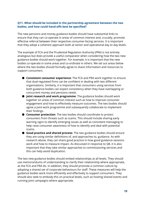#### **Q11. What should be included in the partnership agreement between the two bodies, and how could hand-offs best be specified?**

The new pensions and money guidance bodies should have substantial links to ensure that they can co-operate in areas of common interest and, crucially, promote effective referral between their respective consumer-facing services. It is important that they adopt a coherent approach both at senior and operational day to day levels.

The example of FCA and the Prudential Regulation Authority (PRA) is not entirely analogous but does provide a useful comparator when considering how the two new guidance bodies should work together. For example, it is important that the new bodies co-operate in some areas and co-ordinate in others. We set out areas below where the two bodies should formally agree to share information and resources to support consumers.

- **Consistent consumer experience**: The FCA and PRA work together to ensure that dual-regulated firms can be confident in dealing with two different organisations. Similarly, it is important that consumers using services from both guidance bodies can expect consistency when they have overlapping or concurrent money and pensions needs.
- **Joint research and work programme**: The guidance bodies should work together on areas of common interest such as how to improve consumer engagement and how to effectively measure outcomes. The two bodies should agree a joint work programme and subsequently collaborate to implement their findings.
- **Consumer protection**: The two bodies should coordinate to protect consumers from threats such as scams. This should include sharing early warning signs to identify emerging issues as well as consistent messaging to help raise consumer awareness of how to identify and deal with potential scams.
- **Good practice and shared process**: The two guidance bodies should ensure they are using similar definitions of, and approaches to, guidance. As with research above, they can share good practice in how good guidance sessions work and how to measure impact. As discussed in response to Q8, it is also important that they take similar approaches to commissioning services and this can help avoid duplication.

The two new guidance bodies should embed relationships at all levels. They should use memorandums of understanding to clarify their relationship where appropriate, as the FCA and PRA do. In addition, they should promote a common culture by adopting a shared set of corporate behaviours for staff. These measures will help the guidance bodies work more efficiently and effectively to support consumers. They should also seek to embody this on practical levels, such as hosting shared events and running joint campaigns where appropriate.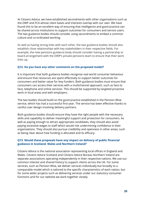At Citizens Advice, we have established secondments with other organisations such as the DWP and FCA whose client bases and interests overlap with our own. We have found this to be an excellent way of ensuring that intelligence and good practice can be shared across institutions to support outcomes for consumers and service users. The two guidance bodies should consider using secondments to embed a common culture and co-ordinated working.

As well as having strong links with each other, the two guidance bodies should also establish close relationships with key stakeholders in their respective fields. For example, the new pensions guidance body should consider having a partnership or board arrangement with the DWP's private pensions team to ensure that their work links up.

#### **Q12. Do you have any other comments on the proposed model?**

It is important that both guidance bodies recognise real world consumer behaviour and ensure that resources are spent effectively to support better outcomes for consumers and better value for levy funders. Both guidance bodies must ensure that consumers can access their services with a multichannel approach, such as face to face, telephone and online services. This should be supported by targeted proactive work in local areas and with employers.

The two bodies should build on the good practice established in the Pension Wise service, which has had a successful first year. The service has been effective thanks to careful user design involving delivery partners.

Both guidance bodies should ensure they have the right people with the necessary skills and capability to deliver meaningful support and protection for consumers. As well as paying enough to attract appropriate candidates, they should also avoid paying excessive wages to staff which would risk undermining confidence in their organisations. They should also pursue credibility and openness in other areas, such as being clear about how funding is allocated and its efficacy.

#### **Q13. Would these proposals have any impact on delivery of public financial guidance in Scotland, Wales and Northern Ireland?**

Citizens Advice is the national association representing local offices in England and Wales. Citizens Advice Scotland and Citizens Advice Bureau Northern Ireland are separate associations operating independently in their respective nations. We use our common interest and shared history to support clients across the UK. For some services, such as Pension Wise, we deliver services individually but broadly to a comparable model which is tailored to the specific characteristics of each nation, but for some wider projects such as delivering services under our statutory consumer functions and for our website we work together closely.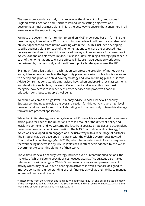The new money guidance body must recognise the different policy landscapes in England, Wales, Scotland and Northern Ireland when setting objectives and developing annual business plans. This is the best way to ensure that consumers in all areas receive the support they need.

We note the government's intention to build on MAS' knowledge base in forming the new money guidance body. With that in mind we believe it will be critical to also build on MAS' approach to cross-nation working within the UK. This includes developing specific business plans for each of the home nations to ensure the proposed new delivery model does not result in a reduced money guidance service for consumers in Wales, Scotland and Northern Ireland. It also includes retaining a strategic presence in each of the home nations to ensure effective links are made between work being undertaken by the new body and the different policy landscapes across the UK.

Existing or future legislation in each nation can affect the provision of money advice and guidance services, such as the legal duty placed on certain public bodies in Wales to develop and produce a child poverty strategy and local wellbeing plans. $^{26}$  Citizens Advice Cymru has consistently emphasised how, when undertaking local assessments and developing such plans, the Welsh Government and local authorities must recognise how access to independent advice services and proactive financial education contribute to people's wellbeing.

We would welcome the high level UK Money Advice Service Financial Capability Strategy continuing to provide the overall direction for this work. It is very high level however, and we look forward to collaborating with the new body to take this strategy forward into practical application.

While that initial strategy was being developed, Citizens Advice advocated for separate action plans for each of the UK nations to take account of the different policy and legislative contexts, and we welcome the fact that separate strategies and action plans have since been launched in each nation. The MAS Financial Capability Strategy for Wales was developed in an engaged and inclusive way with a wide range of partners. The Strategy was also developed in parallel with the Welsh Government's Revised Financial Inclusion Strategy (March 2016), which has a wider remit. As a consequence the work being undertaken by MAS in Wales has in effect been adopted by the Welsh Government to cover this element of their work.

The Wales Financial Capability Strategy includes over 70 recommended actions, the majority of which relate to specific Wales-focused activity. The strategy also makes reference to a wider range of Welsh Government strategies and programmes of activity which may or will have a bearing on activities in Wales that are designed to improve consumers' understanding of their finances as well as their ability to manage in times of financial difficulty.

 $26$  These come from the Children and Families (Wales) Measure 2010); and duties placed on many of the same public bodies under both the Social Services and Well-being (Wales) Act 2014 and the Well-being of Future Generations (Wales) Act 2015.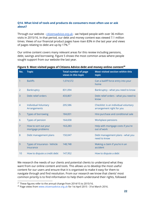#### **Q14. What kind of tools and products do consumers most often use or ask about?**

Through our website - [citizensadvice.org.uk](http://citizensadvice.org.uk/) - we helped people with over 36 million visits in 2015/16. In that period, our debt and money content was viewed 7.1 million times. Views of our financial product pages have risen 83% in the last year and views of pages relating to debt are up by 17%.<sup>27</sup>

Our online content covers many relevant areas for this review including pensions, debt, savings and borrowing. Figure 5 shows the most common areas where people sought support from our website the last year.

| No.            | <b>Topic</b>                                | <b>Total number of page</b><br>views in this topic | <b>Most visited section within this</b><br>topic                   |  |
|----------------|---------------------------------------------|----------------------------------------------------|--------------------------------------------------------------------|--|
| 1              | <b>Bailiffs</b>                             | 1,074,572                                          | Can a bailiff force entry into your<br>home                        |  |
| $\overline{2}$ | <b>Bankruptcy</b>                           | 831,094                                            | Bankruptcy - what you need to know                                 |  |
| 3              | Debt relief orders                          | 433,807                                            | Debt relief orders - what you need to<br>know                      |  |
| $\overline{4}$ | <b>Individual Voluntary</b><br>Arrangements | 205,586                                            | Checklist: is an individual voluntary<br>arrangement right for you |  |
| 5              | Types of borrowing                          | 184,831                                            | Hire purchase and conditional sale                                 |  |
| 6              | Types of pension                            | 164,658                                            | Workplace pensions                                                 |  |
| $\overline{7}$ | How to sort out your<br>mortgage problems   | 163,283                                            | Help with mortgage costs if you're<br>out of work                  |  |
| 8              | Debt management plans                       | 150,047                                            | Debt management plans - what you<br>need to know                   |  |
| 9              | Types of insurance - Vehicle<br>insurance   | 148,748                                            | Making a claim if you're in an<br>accident                         |  |
| 10             | How to dispute a credit debt                | 147,952                                            | How to dispute a debt                                              |  |

#### **Figure 5: Most visited pages of Citizens Advice debt and money online content 28**

We research the needs of our clients and potential clients to understand what they want from our online content and tools. This allows us to develop the most useful content for our users and ensure that it is organised to make it easy for them to navigate through and find resolution. From our research we know that clients' most common priority is to find information to help them understand their rights, followed

 $27$  These figures refer to the annual change from 2014/15 to 2015/16.

<sup>&</sup>lt;sup>28</sup> Page views from [www.citizensadvice.org.uk](http://www.citizensadvice.org.uk/) for 1st April 2015 - 31st March 2016.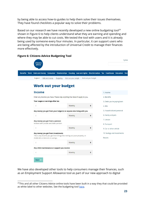by being able to access how-to guides to help them solve their issues themselves. They have found checklists a popular way to solve their problems.

Based on our research we have recently developed a new online budgeting tool<sup>29</sup> shown in Figure 6 to help clients understand what they are earning and spending and where they may be able to cut costs. We tested the tool with users and it is already being used by someone every four minutes. In particular, it can support users who are being affected by the introduction of Universal Credit to manage their finances more effectively.

#### Cymra citizens advice Benefits Work Debt and money Consumer Relationships Housing Law and rights Discrimination Tax Healthcare Education Mo England > Debt and money > Budgeting > Work out your budget > Work out your budget **Work out your budget Income** 1. Income Enter any income you have. Please skip anything that doesn't apply to you. 2. Benefits Your wages or earnings after tax 3. Debts you're paying back Ė Monthly  $\div$ 4. Bills 5. Household and personal Any money you get from your lodger(s) or anyone else living with you 6. Family and pets £ Monthly  $\div$ 7. Leisure Any money you get from a pension Include both private and state pension 8. Transport Monthly  $\bullet$ £ 9. Car or other vehicle Any money you get from investments 10. Savings and investments This is any income you get from things like renting out your property, or **Results** dividends or interest on savings.  $\mathbf{f}$ Monthly  $\bullet$ Any child maintenance or support you receive £ Monthly Next >

**Figure 6: Citizens Advice Budgeting Tool**

We have also developed other tools to help consumers manage their finances, such as an Employment Support Allowance tool as part of our new approach to digital

 $29$ This and all other Citizens Advice online tools have been built in a way they that could be provided as white label to other websites. See the budgeting tool [here.](https://www.citizensadvice.org.uk/debt-and-money/budgeting/budgeting/work-out-your-budget/)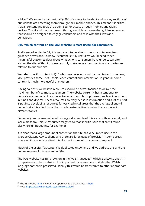advice. $^{30}$  We know that almost half (48%) of visitors to the debt and money sections of our website are accessing them through their mobile phones. This means it is critical that all content and tools are optimised for access through mobiles and tablet devices. This fits with our approach throughout this response that guidance services that should be designed to engage consumers and fit in with their lives and behaviours.

#### **Q15. Which content on the MAS website is most useful for consumers?**

As discussed earlier in Q7, it is important to be able to measure outcomes from guidance provisions. To know if content is truly useful we would need to see meaningful outcomes data about what actions consumers have undertaken after visiting the site. Without this we can only make general comments and experiences in relation to our own site.

We select specific content in Q16 which we believe should be maintained. In general, MAS provides some useful tools, video content and information. In general, some content is much more useful than others.

Having said this, we believe resources should be better focused to deliver the maximum benefit to most consumers. The website currently has a tendency to dedicate a large body of resources to certain complex topic areas, such as investment in funds and divorce. These resources are very dense in information and a lot of effort is put into developing resources for very technical areas that the average client will not look at - this effort is not then made cost-effective by using the resources in different topics.

Conversely, some areas – benefits is a good example of this – are both very small, and lack almost any unique resources targeted to that specific issue that aren't found elsewhere (in Budgeting, for example).

It is clear that a large amount of content on the site has very limited use to the average Citizens Advice client, and there are large gaps of provision in some areas where a Citizens Advice client might expect more information and support.

Much of the useful 'flat content' is duplicated elsewhere and we address this and the unique nature of this content in Q16.

The MAS website has full provision in the Welsh language $^{31}$  which is a key strength in comparison to other websites. It is important for consumers in Wales that Welsh language content is preserved - ideally this would be transferred to other appropriate websites.

<sup>&</sup>lt;sup>30</sup> The ESA tool is [here](https://www.citizensadvice.org.uk/benefits/sick-or-disabled-people-and-carers/employment-and-support-allowance/) and our new approach to digital advice is [here.](http://alphablog.citizensadvice.org.uk/2015/05/how-we-approach-advice-content/)

<sup>31</sup> MAS, [https://www.moneyadviceservice.org.uk/cy.](https://www.moneyadviceservice.org.uk/cy)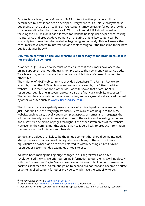On a technical level, the usefulness of MAS content to other providers will be determined by how it has been developed. Every website is a unique ecosystem, so depending on the build or coding of MAS content it may be easier for other providers to redevelop it rather than integrate it. With this in mind, MAS should consider focusing the £3.9 million it has allocated for website hosting, user experience, testing, maintenance and product development on ensuring that its key content can be smoothly transferred to other websites beginning immediately. This will ensure that consumers have access to information and tools throughout the transition to the new public guidance body. 32

#### **Q16. Which content on the MAS website is it necessary to maintain because it is not provided elsewhere?**

As above in Q15, a key priority must be to ensure that consumers have access to online support throughout the transition process to the new money guidance body. To achieve this, work must start as soon as possible to transfer useful content to other sites.

The majority of MAS' web content is provided elsewhere. The Farnish Review, for example, found that 96% of its content was also covered by the Citizens Advice website. $33$  Our recent analysis of the MAS website shows that of around 900  $\,$ resources, roughly one in seven represent discrete financial capability resources. 34 The remainder are purely factual or signposting, and are generally already addressed by other websites such as [www.citizensadvice.co.uk.](http://www.citizensadvice.co.uk/)

The discrete financial capability resources are of a mixed quality: none are poor, but just under half are of a very high standard. Certain areas are unique to the MAS website, such as cars, travel, certain complex aspects of homes and mortgages that address a diversity of clients, several sections of the saving and investing resources, and a scattered selection of pages throughout the other seven areas of the website. However, in the coming months, Citizens Advice is very likely to produce information that makes much of this content obsolete.

So tools and videos are likely to be the unique content that should be maintained. MAS provides a broad range of high-quality tools. Many of these do not have equivalents elsewhere, and are often referred to within existing Citizens Advice resources as recommended examples or tools to use.

We have been making making huge changes in our digital work, and have revolutionised the way we offer our online information to our clients, working closely with the Government Digital Service. We have ambitions to build on our progress and positive client feedback so far, and go on to expand our content and become a source of white-labelled content for other providers, which have the capability to do.

<sup>&</sup>lt;sup>32</sup> Money Advice Service, **[Business](https://www.moneyadviceservice.org.uk/en/corporate/201617-business-plan) Plan 2016/17**.

<sup>&</sup>lt;sup>33</sup> Christine Farnish, Review of the Money Advice [Service,](https://www.gov.uk/government/publications/review-of-the-money-advice-service) December 2014, page 77.

<sup>&</sup>lt;sup>34</sup> Our analysis of 898 resources found that 28 represent discrete financial capability resources.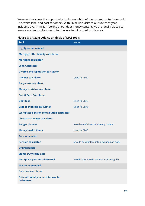We would welcome the opportunity to discuss which of the current content we could use, white label and host for others. With 36 million visits to our site each year, including over 7 million looking at our debt money content, we are ideally placed to ensure maximum client reach for the levy funding used in this area.

| <b>Tool</b>                                             | <b>Notes</b>                              |  |  |
|---------------------------------------------------------|-------------------------------------------|--|--|
| <b>Highly recommended</b>                               |                                           |  |  |
| Mortgage affordability calculator                       |                                           |  |  |
| <b>Mortgage calculator</b>                              |                                           |  |  |
| <b>Loan Calculator</b>                                  |                                           |  |  |
| <b>Divorce and separation calculator</b>                |                                           |  |  |
| <b>Savings calculator</b>                               | Used in DMC                               |  |  |
| <b>Baby costs calculator</b>                            |                                           |  |  |
| <b>Money stretcher calculator</b>                       |                                           |  |  |
| <b>Credit Card Calculator</b>                           |                                           |  |  |
| <b>Debt test</b>                                        | <b>Used in DMC</b>                        |  |  |
| <b>Cost of childcare calculator</b>                     | Used in DMC                               |  |  |
| <b>Workplace pension contribution calculator</b>        |                                           |  |  |
| <b>Christmas savings calculator</b>                     |                                           |  |  |
| <b>Budget planner</b>                                   | Now have Citizens Advice equivalent       |  |  |
| <b>Money Health Check</b>                               | Used in DMC                               |  |  |
| <b>Recommended</b>                                      |                                           |  |  |
| <b>Pension calculator</b>                               | Should be of interest to new pension body |  |  |
| <b>Of limited use</b>                                   |                                           |  |  |
| <b>Stamp Duty calculator</b>                            |                                           |  |  |
| <b>Workplace pension advice tool</b>                    | New body should consider improving this   |  |  |
| <b>Not recommended</b>                                  |                                           |  |  |
| <b>Car costs calculator</b>                             |                                           |  |  |
| <b>Estimate what you need to save for</b><br>retirement |                                           |  |  |

#### **Figure 7: Citizens Advice analysis of MAS tools**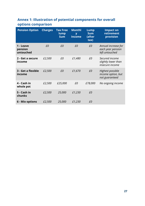## **Annex 1: Illustration of potential components for overall options comparison**

| <b>Pension Option</b>             | <b>Charges</b> | <b>Tax Free</b><br>lump<br><b>Sum</b> | <b>Monthl</b><br>y<br><b>Income</b> | <b>Lump</b><br><b>Sum</b><br>(after<br>tax) | <b>Impact on</b><br>retirement<br>provision                     |
|-----------------------------------|----------------|---------------------------------------|-------------------------------------|---------------------------------------------|-----------------------------------------------------------------|
| 1 - Leave<br>pension<br>untouched | £0             | £0                                    | £0                                  | £0                                          | Annual increase for<br>each year pension<br>left untouched      |
| 2 - Get a secure<br><b>Income</b> | £2,500         | £0                                    | £1,480                              | £0                                          | Secured income<br>slightly lower than<br><i>insecure income</i> |
| 3 - Get a flexible<br>income      | £2,500         | £0                                    | £1,670                              | £0                                          | Highest possible<br>income option, but<br>not guaranteed        |
| 4 - Cash in<br>whole pot          | £2,500         | £25,000                               | £0                                  | £78,000                                     | No ongoing income                                               |
| 5 - Cash in<br>chunks             | £2,500         | 25,000                                | £1,230                              | £0                                          |                                                                 |
| 6 - Mix options                   | £2,500         | 25,000                                | £1,230                              | £0                                          |                                                                 |